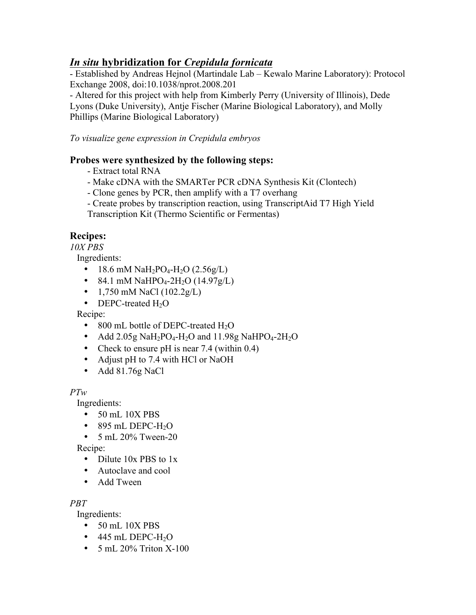# *In situ* **hybridization for** *Crepidula fornicata*

- Established by Andreas Hejnol (Martindale Lab – Kewalo Marine Laboratory): Protocol Exchange 2008, doi:10.1038/nprot.2008.201

- Altered for this project with help from Kimberly Perry (University of Illinois), Dede Lyons (Duke University), Antje Fischer (Marine Biological Laboratory), and Molly Phillips (Marine Biological Laboratory)

*To visualize gene expression in Crepidula embryos*

## **Probes were synthesized by the following steps:**

- Extract total RNA
- Make cDNA with the SMARTer PCR cDNA Synthesis Kit (Clontech)
- Clone genes by PCR, then amplify with a T7 overhang
- Create probes by transcription reaction, using TranscriptAid T7 High Yield

Transcription Kit (Thermo Scientific or Fermentas)

## **Recipes:**

*10X PBS*

Ingredients:

- 18.6 mM  $\text{NaH}_2\text{PO}_4\text{-H}_2\text{O}$  (2.56g/L)
- 84.1 mM NaHPO<sub>4</sub>-2H<sub>2</sub>O (14.97g/L)
- 1,750 mM NaCl  $(102.2g/L)$
- DEPC-treated  $H_2O$

Recipe:

- 800 mL bottle of DEPC-treated  $H_2O$
- Add 2.05g NaH<sub>2</sub>PO<sub>4</sub>-H<sub>2</sub>O and 11.98g NaHPO<sub>4</sub>-2H<sub>2</sub>O
- Check to ensure pH is near 7.4 (within 0.4)
- Adjust pH to 7.4 with HCl or NaOH
- Add 81.76g NaCl

*PTw*

Ingredients:

- 50 mL 10X PBS
- $\bullet$  895 mL DEPC-H<sub>2</sub>O
- $5 \text{ mL } 20\%$  Tween-20

Recipe:

- Dilute 10x PBS to 1x
- Autoclave and cool
- Add Tween

*PBT*

Ingredients:

- 50 mL 10X PBS
- $\bullet$  445 mL DEPC-H<sub>2</sub>O
- $5 \text{ mL } 20\%$  Triton X-100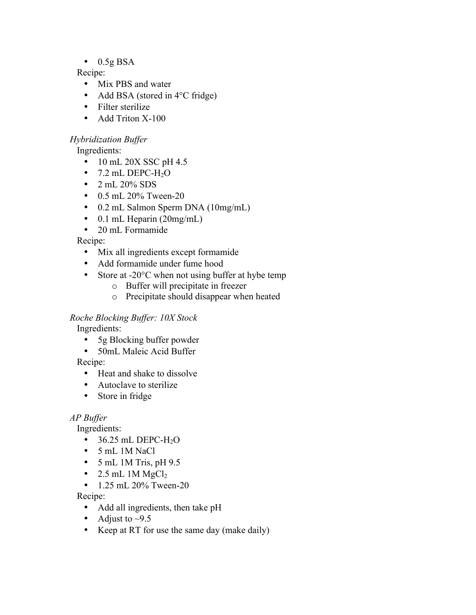$\bullet$  0.5g BSA

Recipe:

- Mix PBS and water
- Add BSA (stored in 4°C fridge)
- Filter sterilize
- Add Triton X-100

#### *Hybridization Buffer*

Ingredients:

- 10 mL 20X SSC pH 4.5
- 7.2 mL DEPC-H<sub>2</sub>O
- $2 \text{ mL } 20\%$  SDS
- 0.5 mL 20% Tween-20
- 0.2 mL Salmon Sperm DNA (10mg/mL)
- 0.1 mL Heparin (20mg/mL)
- 20 mL Formamide

Recipe:

- Mix all ingredients except formamide
- Add formamide under fume hood
- Store at -20°C when not using buffer at hybe temp
	- o Buffer will precipitate in freezer
	- o Precipitate should disappear when heated

## *Roche Blocking Buffer: 10X Stock*

Ingredients:

- 5g Blocking buffer powder
- 50mL Maleic Acid Buffer

Recipe:

- Heat and shake to dissolve
- Autoclave to sterilize
- Store in fridge

## *AP Buffer*

Ingredients:

- $\bullet$  36.25 mL DEPC-H<sub>2</sub>O
- 5 mL 1M NaCl
- $\bullet$  5 mL 1M Tris, pH 9.5
- 2.5 mL 1M  $MgCl<sub>2</sub>$
- 1.25 mL 20% Tween-20

Recipe:

- Add all ingredients, then take pH
- Adjust to  $\sim$ 9.5
- Keep at RT for use the same day (make daily)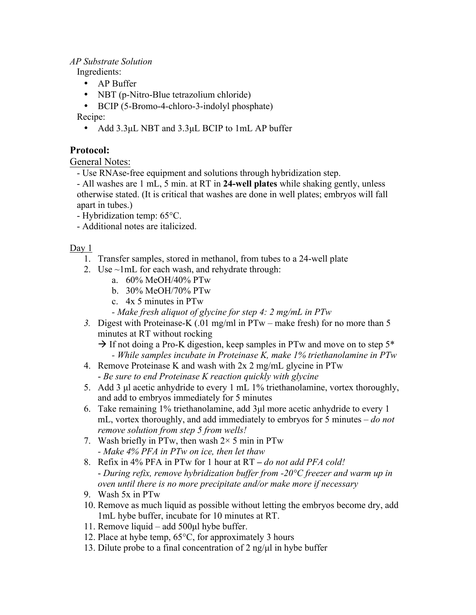#### *AP Substrate Solution*

Ingredients:

- AP Buffer
- NBT (p-Nitro-Blue tetrazolium chloride)
- BCIP (5-Bromo-4-chloro-3-indolyl phosphate)

Recipe:

• Add 3.3µL NBT and 3.3µL BCIP to 1mL AP buffer

## **Protocol:**

General Notes:

- Use RNAse-free equipment and solutions through hybridization step.
- All washes are 1 mL, 5 min. at RT in **24-well plates** while shaking gently, unless otherwise stated. (It is critical that washes are done in well plates; embryos will fall apart in tubes.)
- Hybridization temp: 65°C.
- Additional notes are italicized.

Day 1

- 1. Transfer samples, stored in methanol, from tubes to a 24-well plate
- 2. Use ~1mL for each wash, and rehydrate through:
	- a. 60% MeOH/40% PTw
	- b. 30% MeOH/70% PTw
	- c. 4x 5 minutes in PTw
	- *- Make fresh aliquot of glycine for step 4: 2 mg/mL in PTw*
- *3.* Digest with Proteinase-K (.01 mg/ml in PTw make fresh) for no more than 5 minutes at RT without rocking
	- $\rightarrow$  If not doing a Pro-K digestion, keep samples in PTw and move on to step 5<sup>\*</sup> *- While samples incubate in Proteinase K, make 1% triethanolamine in PTw*
- 4. Remove Proteinase K and wash with 2x 2 mg/mL glycine in PTw - *Be sure to end Proteinase K reaction quickly with glycine*
- 5. Add 3 µl acetic anhydride to every 1 mL 1% triethanolamine, vortex thoroughly, and add to embryos immediately for 5 minutes
- 6. Take remaining 1% triethanolamine, add 3µl more acetic anhydride to every 1 mL, vortex thoroughly, and add immediately to embryos for 5 minutes – *do not remove solution from step 5 from wells!*
- 7. Wash briefly in PTw, then wash  $2 \times 5$  min in PTw *- Make 4% PFA in PTw on ice, then let thaw*
- 8. Refix in 4% PFA in PTw for 1 hour at RT **–** *do not add PFA cold!* - *During refix, remove hybridization buffer from -20°C freezer and warm up in oven until there is no more precipitate and/or make more if necessary*
- 9. Wash 5x in PTw
- 10. Remove as much liquid as possible without letting the embryos become dry, add 1mL hybe buffer, incubate for 10 minutes at RT.
- 11. Remove liquid add 500µl hybe buffer.
- 12. Place at hybe temp, 65°C, for approximately 3 hours
- 13. Dilute probe to a final concentration of 2 ng/ $\mu$ l in hybe buffer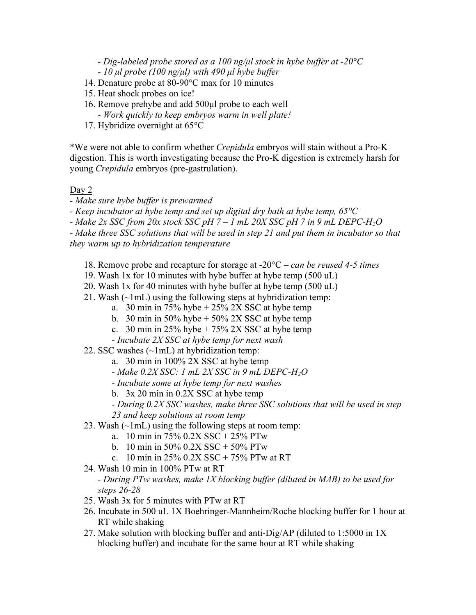*- Dig-labeled probe stored as a 100 ng/µl stock in hybe buffer at -20°C*

*- 10 µl probe (100 ng/µl) with 490 µl hybe buffer*

- 14. Denature probe at 80-90°C max for 10 minutes
- 15. Heat shock probes on ice!
- 16. Remove prehybe and add 500µl probe to each well *- Work quickly to keep embryos warm in well plate!*
- 17. Hybridize overnight at 65°C

\*We were not able to confirm whether *Crepidula* embryos will stain without a Pro-K digestion. This is worth investigating because the Pro-K digestion is extremely harsh for young *Crepidula* embryos (pre-gastrulation).

### Day 2

*- Make sure hybe buffer is prewarmed*

*- Keep incubator at hybe temp and set up digital dry bath at hybe temp, 65°C*

*- Make 2x SSC from 20x stock SSC pH 7 – 1 mL 20X SSC pH 7 in 9 mL DEPC-H2O*

*- Make three SSC solutions that will be used in step 21 and put them in incubator so that they warm up to hybridization temperature*

- 18. Remove probe and recapture for storage at -20°C *– can be reused 4-5 times*
- 19. Wash 1x for 10 minutes with hybe buffer at hybe temp (500 uL)
- 20. Wash 1x for 40 minutes with hybe buffer at hybe temp (500 uL)
- 21. Wash  $(\sim 1 \text{mL})$  using the following steps at hybridization temp:
	- a. 30 min in 75% hybe  $+ 25\%$  2X SSC at hybe temp
	- b. 30 min in 50% hybe  $+$  50% 2X SSC at hybe temp
	- c. 30 min in  $25\%$  hybe + 75% 2X SSC at hybe temp
	- *- Incubate 2X SSC at hybe temp for next wash*
- 22. SSC washes  $(\sim 1 \text{mL})$  at hybridization temp:
	- a. 30 min in 100% 2X SSC at hybe temp
	- *- Make 0.2X SSC: 1 mL 2X SSC in 9 mL DEPC-H2O*
	- *- Incubate some at hybe temp for next washes*
	- b. 3x 20 min in 0.2X SSC at hybe temp
	- *- During 0.2X SSC washes, make three SSC solutions that will be used in step*
	- *23 and keep solutions at room temp*
- 23. Wash  $(\sim lmL)$  using the following steps at room temp:
	- a. 10 min in 75% 0.2X SSC + 25% PTw
	- b. 10 min in 50% 0.2X SSC + 50% PTw
	- c. 10 min in 25%  $0.2X$  SSC + 75% PTw at RT
- 24. Wash 10 min in 100% PTw at RT

#### *- During PTw washes, make 1X blocking buffer (diluted in MAB) to be used for steps 26-28*

- 25. Wash 3x for 5 minutes with PTw at RT
- 26. Incubate in 500 uL 1X Boehringer-Mannheim/Roche blocking buffer for 1 hour at RT while shaking
- 27. Make solution with blocking buffer and anti-Dig/AP (diluted to 1:5000 in 1X blocking buffer) and incubate for the same hour at RT while shaking